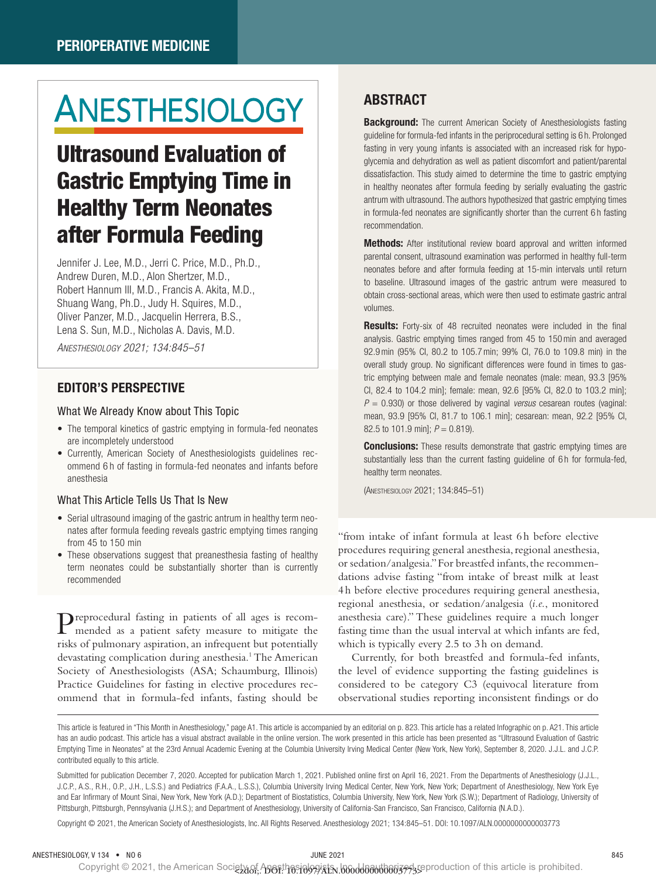# ANESTHESIOLOGY

## Ultrasound Evaluation of Gastric Emptying Time in Healthy Term Neonates after Formula Feeding

Jennifer J. Lee, M.D., Jerri C. Price, M.D., Ph.D., Andrew Duren, M.D., Alon Shertzer, M.D., Robert Hannum III, M.D., Francis A. Akita, M.D., Shuang Wang, Ph.D., Judy H. Squires, M.D., Oliver Panzer, M.D., Jacquelin Herrera, B.S., Lena S. Sun, M.D., Nicholas A. Davis, M.D.

*Anesthesiology 2021; 134:845–51*

#### EDITOR'S PERSPECTIVE

#### What We Already Know about This Topic

- The temporal kinetics of gastric emptying in formula-fed neonates are incompletely understood
- Currently, American Society of Anesthesiologists guidelines recommend 6 h of fasting in formula-fed neonates and infants before anesthesia

#### What This Article Tells Us That Is New

- Serial ultrasound imaging of the gastric antrum in healthy term neonates after formula feeding reveals gastric emptying times ranging from 45 to 150 min
- These observations suggest that preanesthesia fasting of healthy term neonates could be substantially shorter than is currently recommended

Preprocedural fasting in patients of all ages is recommended as a patient safety measure to mitigate the risks of pulmonary aspiration, an infrequent but potentially devastating complication during anesthesia.<sup>1</sup> The American Society of Anesthesiologists (ASA; Schaumburg, Illinois) Practice Guidelines for fasting in elective procedures recommend that in formula-fed infants, fasting should be

### ABSTRACT

**Background:** The current American Society of Anesthesiologists fasting guideline for formula-fed infants in the periprocedural setting is 6 h. Prolonged fasting in very young infants is associated with an increased risk for hypoglycemia and dehydration as well as patient discomfort and patient/parental dissatisfaction. This study aimed to determine the time to gastric emptying in healthy neonates after formula feeding by serially evaluating the gastric antrum with ultrasound. The authors hypothesized that gastric emptying times in formula-fed neonates are significantly shorter than the current 6 h fasting recommendation.

**Methods:** After institutional review board approval and written informed parental consent, ultrasound examination was performed in healthy full-term neonates before and after formula feeding at 15-min intervals until return to baseline. Ultrasound images of the gastric antrum were measured to obtain cross-sectional areas, which were then used to estimate gastric antral volumes.

Results: Forty-six of 48 recruited neonates were included in the final analysis. Gastric emptying times ranged from 45 to 150min and averaged 92.9min (95% CI, 80.2 to 105.7min; 99% CI, 76.0 to 109.8 min) in the overall study group. No significant differences were found in times to gastric emptying between male and female neonates (male: mean, 93.3 [95% CI, 82.4 to 104.2 min]; female: mean, 92.6 [95% CI, 82.0 to 103.2 min]; *P* = 0.930) or those delivered by vaginal *versus* cesarean routes (vaginal: mean, 93.9 [95% CI, 81.7 to 106.1 min]; cesarean: mean, 92.2 [95% CI, 82.5 to 101.9 min]; *P* = 0.819).

**Conclusions:** These results demonstrate that gastric emptying times are substantially less than the current fasting guideline of 6h for formula-fed, healthy term neonates.

(ANESTHESIOLOGY 2021; 134:845–51)

"from intake of infant formula at least 6h before elective procedures requiring general anesthesia, regional anesthesia, or sedation/analgesia." For breastfed infants, the recommendations advise fasting "from intake of breast milk at least 4h before elective procedures requiring general anesthesia, regional anesthesia, or sedation/analgesia (*i.e.*, monitored anesthesia care)." These guidelines require a much longer fasting time than the usual interval at which infants are fed, which is typically every 2.5 to 3h on demand.

Currently, for both breastfed and formula-fed infants, the level of evidence supporting the fasting guidelines is considered to be category C3 (equivocal literature from observational studies reporting inconsistent findings or do

Submitted for publication December 7, 2020. Accepted for publication March 1, 2021. Published online first on April 16, 2021. From the Departments of Anesthesiology (J.J.L., J.C.P., A.S., R.H., O.P., J.H., L.S.S.) and Pediatrics (F.A.A., L.S.S.), Columbia University Irving Medical Center, New York, New York; Department of Anesthesiology, New York Eye and Ear Infirmary of Mount Sinai, New York, New York (A.D.); Department of Biostatistics, Columbia University, New York, New York (S.W.); Department of Radiology, University of Pittsburgh, Pittsburgh, Pennsylvania (J.H.S.); and Department of Anesthesiology, University of California-San Francisco, San Francisco, California (N.A.D.).

Copyright © 2021, the American Society of Anesthesiologists, Inc. All Rights Reserved. Anesthesiology 2021; 134:845–51. DOI: 10.1097/ALN.0000000000003773

Copyright © 2021, the American Society of Aperthesiologists, 100000000000000037735 production of this article is prohibited.

This article is featured in "This Month in Anesthesiology," page A1. This article is accompanied by an editorial on p. 823. This article has a related Infographic on p. A21. This article has an audio podcast. This article has a visual abstract available in the online version. The work presented in this article has been presented as "Ultrasound Evaluation of Gastric Emptying Time in Neonates" at the 23rd Annual Academic Evening at the Columbia University Irving Medical Center (New York, New York), September 8, 2020. J.J.L. and J.C.P. contributed equally to this article.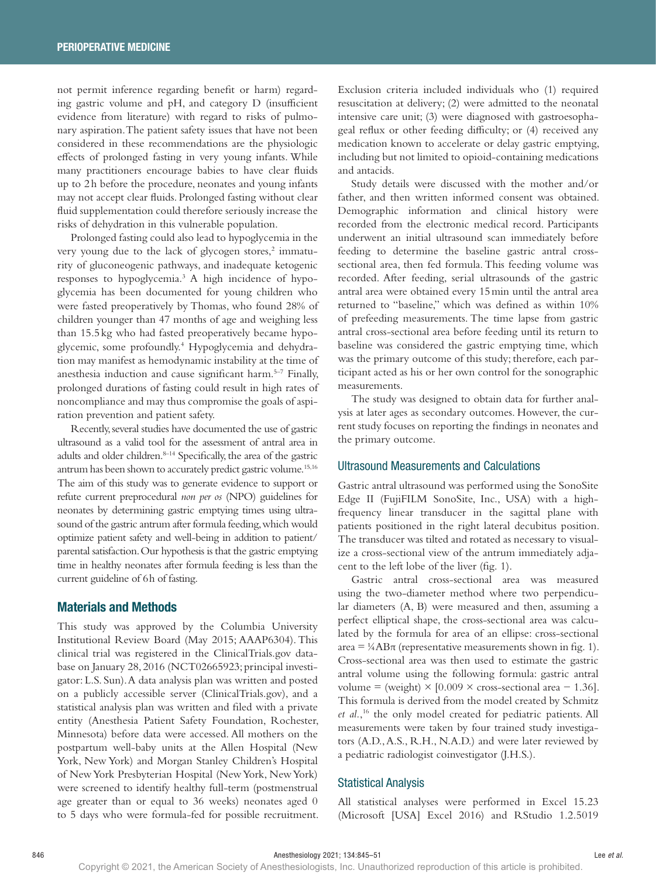not permit inference regarding benefit or harm) regarding gastric volume and pH, and category D (insufficient evidence from literature) with regard to risks of pulmonary aspiration. The patient safety issues that have not been considered in these recommendations are the physiologic effects of prolonged fasting in very young infants. While many practitioners encourage babies to have clear fluids up to 2h before the procedure, neonates and young infants may not accept clear fluids. Prolonged fasting without clear fluid supplementation could therefore seriously increase the risks of dehydration in this vulnerable population.

Prolonged fasting could also lead to hypoglycemia in the very young due to the lack of glycogen stores,<sup>2</sup> immaturity of gluconeogenic pathways, and inadequate ketogenic responses to hypoglycemia.3 A high incidence of hypoglycemia has been documented for young children who were fasted preoperatively by Thomas, who found 28% of children younger than 47 months of age and weighing less than 15.5 kg who had fasted preoperatively became hypoglycemic, some profoundly.4 Hypoglycemia and dehydration may manifest as hemodynamic instability at the time of anesthesia induction and cause significant harm.5–7 Finally, prolonged durations of fasting could result in high rates of noncompliance and may thus compromise the goals of aspiration prevention and patient safety.

Recently, several studies have documented the use of gastric ultrasound as a valid tool for the assessment of antral area in adults and older children.<sup>8-14</sup> Specifically, the area of the gastric antrum has been shown to accurately predict gastric volume.<sup>15,16</sup> The aim of this study was to generate evidence to support or refute current preprocedural *non per os* (NPO) guidelines for neonates by determining gastric emptying times using ultrasound of the gastric antrum after formula feeding, which would optimize patient safety and well-being in addition to patient/ parental satisfaction. Our hypothesis is that the gastric emptying time in healthy neonates after formula feeding is less than the current guideline of 6h of fasting.

#### Materials and Methods

This study was approved by the Columbia University Institutional Review Board (May 2015; AAAP6304). This clinical trial was registered in the ClinicalTrials.gov database on January 28, 2016 (NCT02665923; principal investigator: L.S. Sun). A data analysis plan was written and posted on a publicly accessible server (ClinicalTrials.gov), and a statistical analysis plan was written and filed with a private entity (Anesthesia Patient Safety Foundation, Rochester, Minnesota) before data were accessed. All mothers on the postpartum well-baby units at the Allen Hospital (New York, New York) and Morgan Stanley Children's Hospital of New York Presbyterian Hospital (New York, New York) were screened to identify healthy full-term (postmenstrual age greater than or equal to 36 weeks) neonates aged 0 to 5 days who were formula-fed for possible recruitment.

Exclusion criteria included individuals who (1) required resuscitation at delivery; (2) were admitted to the neonatal intensive care unit; (3) were diagnosed with gastroesophageal reflux or other feeding difficulty; or (4) received any medication known to accelerate or delay gastric emptying, including but not limited to opioid-containing medications and antacids.

Study details were discussed with the mother and/or father, and then written informed consent was obtained. Demographic information and clinical history were recorded from the electronic medical record. Participants underwent an initial ultrasound scan immediately before feeding to determine the baseline gastric antral crosssectional area, then fed formula. This feeding volume was recorded. After feeding, serial ultrasounds of the gastric antral area were obtained every 15min until the antral area returned to "baseline," which was defined as within 10% of prefeeding measurements. The time lapse from gastric antral cross-sectional area before feeding until its return to baseline was considered the gastric emptying time, which was the primary outcome of this study; therefore, each participant acted as his or her own control for the sonographic measurements.

The study was designed to obtain data for further analysis at later ages as secondary outcomes. However, the current study focuses on reporting the findings in neonates and the primary outcome.

#### Ultrasound Measurements and Calculations

Gastric antral ultrasound was performed using the SonoSite Edge II (FujiFILM SonoSite, Inc., USA) with a highfrequency linear transducer in the sagittal plane with patients positioned in the right lateral decubitus position. The transducer was tilted and rotated as necessary to visualize a cross-sectional view of the antrum immediately adjacent to the left lobe of the liver (fig. 1).

Gastric antral cross-sectional area was measured using the two-diameter method where two perpendicular diameters (A, B) were measured and then, assuming a perfect elliptical shape, the cross-sectional area was calculated by the formula for area of an ellipse: cross-sectional  $area = \frac{1}{4}AB\pi$  (representative measurements shown in fig. 1). Cross-sectional area was then used to estimate the gastric antral volume using the following formula: gastric antral volume = (weight)  $\times$  [0.009  $\times$  cross-sectional area - 1.36]. This formula is derived from the model created by Schmitz *et al.*, 16 the only model created for pediatric patients. All measurements were taken by four trained study investigators (A.D., A.S., R.H., N.A.D.) and were later reviewed by a pediatric radiologist coinvestigator (J.H.S.).

#### Statistical Analysis

All statistical analyses were performed in Excel 15.23 (Microsoft [USA] Excel 2016) and RStudio 1.2.5019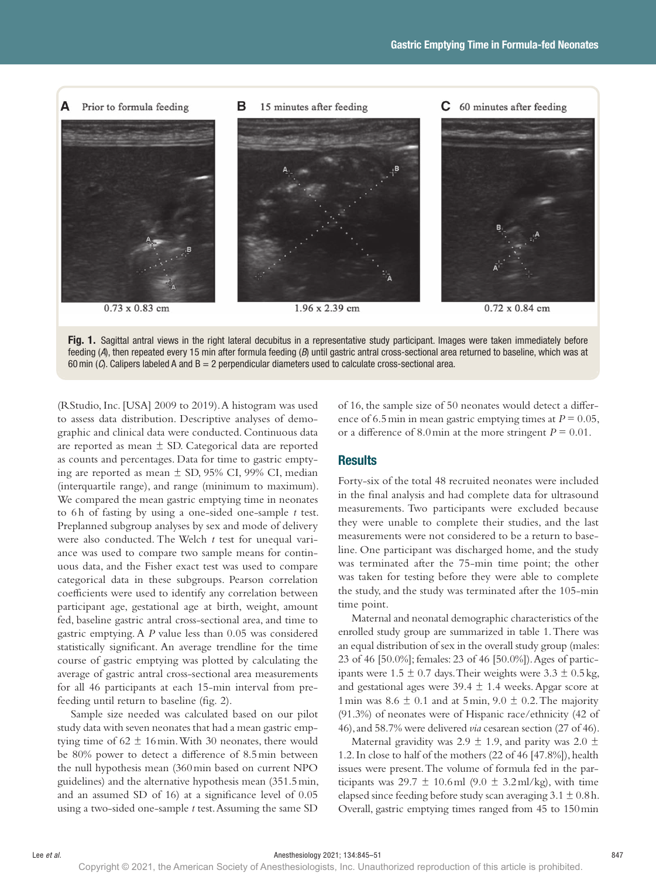



(RStudio, Inc. [USA] 2009 to 2019). A histogram was used to assess data distribution. Descriptive analyses of demographic and clinical data were conducted. Continuous data are reported as mean  $\pm$  SD. Categorical data are reported as counts and percentages. Data for time to gastric emptying are reported as mean  $\pm$  SD, 95% CI, 99% CI, median (interquartile range), and range (minimum to maximum). We compared the mean gastric emptying time in neonates to 6 h of fasting by using a one-sided one-sample *t* test. Preplanned subgroup analyses by sex and mode of delivery were also conducted. The Welch *t* test for unequal variance was used to compare two sample means for continuous data, and the Fisher exact test was used to compare categorical data in these subgroups. Pearson correlation coefficients were used to identify any correlation between participant age, gestational age at birth, weight, amount fed, baseline gastric antral cross-sectional area, and time to gastric emptying. A *P* value less than 0.05 was considered statistically significant. An average trendline for the time course of gastric emptying was plotted by calculating the average of gastric antral cross-sectional area measurements for all 46 participants at each 15-min interval from prefeeding until return to baseline (fig. 2).

Sample size needed was calculated based on our pilot study data with seven neonates that had a mean gastric emptying time of  $62 \pm 16$  min. With 30 neonates, there would be 80% power to detect a difference of 8.5min between the null hypothesis mean (360min based on current NPO guidelines) and the alternative hypothesis mean (351.5min, and an assumed SD of 16) at a significance level of 0.05 using a two-sided one-sample *t* test. Assuming the same SD

of 16, the sample size of 50 neonates would detect a difference of 6.5 min in mean gastric emptying times at  $P = 0.05$ , or a difference of 8.0 min at the more stringent  $P = 0.01$ .

#### **Results**

Forty-six of the total 48 recruited neonates were included in the final analysis and had complete data for ultrasound measurements. Two participants were excluded because they were unable to complete their studies, and the last measurements were not considered to be a return to baseline. One participant was discharged home, and the study was terminated after the 75-min time point; the other was taken for testing before they were able to complete the study, and the study was terminated after the 105-min time point.

Maternal and neonatal demographic characteristics of the enrolled study group are summarized in table 1. There was an equal distribution of sex in the overall study group (males: 23 of 46 [50.0%]; females: 23 of 46 [50.0%]). Ages of participants were  $1.5 \pm 0.7$  days. Their weights were  $3.3 \pm 0.5$  kg, and gestational ages were  $39.4 \pm 1.4$  weeks. Apgar score at 1 min was  $8.6 \pm 0.1$  and at 5 min,  $9.0 \pm 0.2$ . The majority (91.3%) of neonates were of Hispanic race/ethnicity (42 of 46), and 58.7% were delivered *via* cesarean section (27 of 46).

Maternal gravidity was 2.9  $\pm$  1.9, and parity was 2.0  $\pm$ 1.2. In close to half of the mothers (22 of 46 [47.8%]), health issues were present. The volume of formula fed in the participants was  $29.7 \pm 10.6$  ml  $(9.0 \pm 3.2$  ml/kg), with time elapsed since feeding before study scan averaging  $3.1 \pm 0.8$ h. Overall, gastric emptying times ranged from 45 to 150min

Copyright © 2021, the American Society of Anesthesiologists, Inc. Unauthorized reproduction of this article is prohibited.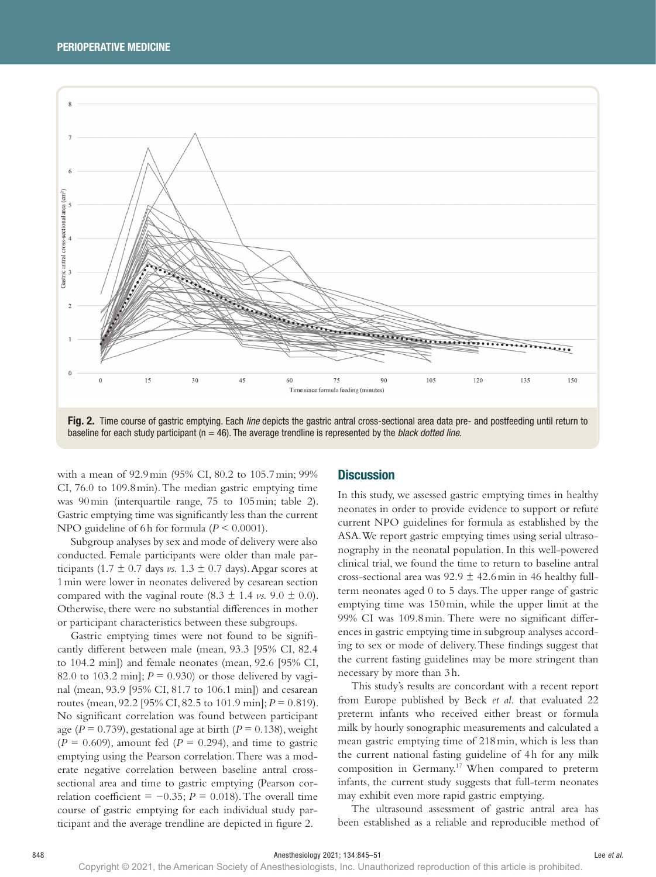

baseline for each study participant (n = 46). The average trendline is represented by the *black dotted line*.

with a mean of 92.9min (95% CI, 80.2 to 105.7min; 99% CI, 76.0 to 109.8min). The median gastric emptying time was 90min (interquartile range, 75 to 105min; table 2). Gastric emptying time was significantly less than the current NPO guideline of 6h for formula (*P* < 0.0001).

Subgroup analyses by sex and mode of delivery were also conducted. Female participants were older than male participants (1.7  $\pm$  0.7 days *vs.* 1.3  $\pm$  0.7 days). Apgar scores at 1min were lower in neonates delivered by cesarean section compared with the vaginal route  $(8.3 \pm 1.4 \text{ vs. } 9.0 \pm 0.0)$ . Otherwise, there were no substantial differences in mother or participant characteristics between these subgroups.

Gastric emptying times were not found to be significantly different between male (mean, 93.3 [95% CI, 82.4 to 104.2 min]) and female neonates (mean, 92.6 [95% CI, 82.0 to 103.2 min];  $P = 0.930$  or those delivered by vaginal (mean, 93.9 [95% CI, 81.7 to 106.1 min]) and cesarean routes (mean, 92.2 [95% CI, 82.5 to 101.9 min]; *P* = 0.819). No significant correlation was found between participant age ( $P = 0.739$ ), gestational age at birth ( $P = 0.138$ ), weight  $(P = 0.609)$ , amount fed  $(P = 0.294)$ , and time to gastric emptying using the Pearson correlation. There was a moderate negative correlation between baseline antral crosssectional area and time to gastric emptying (Pearson correlation coefficient =  $-0.35$ ; *P* = 0.018). The overall time course of gastric emptying for each individual study participant and the average trendline are depicted in figure 2.

#### **Discussion**

In this study, we assessed gastric emptying times in healthy neonates in order to provide evidence to support or refute current NPO guidelines for formula as established by the ASA. We report gastric emptying times using serial ultrasonography in the neonatal population. In this well-powered clinical trial, we found the time to return to baseline antral cross-sectional area was  $92.9 \pm 42.6$  min in 46 healthy fullterm neonates aged 0 to 5 days. The upper range of gastric emptying time was 150min, while the upper limit at the 99% CI was 109.8min. There were no significant differences in gastric emptying time in subgroup analyses according to sex or mode of delivery. These findings suggest that the current fasting guidelines may be more stringent than necessary by more than 3h.

This study's results are concordant with a recent report from Europe published by Beck *et al.* that evaluated 22 preterm infants who received either breast or formula milk by hourly sonographic measurements and calculated a mean gastric emptying time of 218min, which is less than the current national fasting guideline of 4h for any milk composition in Germany.17 When compared to preterm infants, the current study suggests that full-term neonates may exhibit even more rapid gastric emptying.

The ultrasound assessment of gastric antral area has been established as a reliable and reproducible method of

Copyright © 2021, the American Society of Anesthesiologists, Inc. Unauthorized reproduction of this article is prohibited.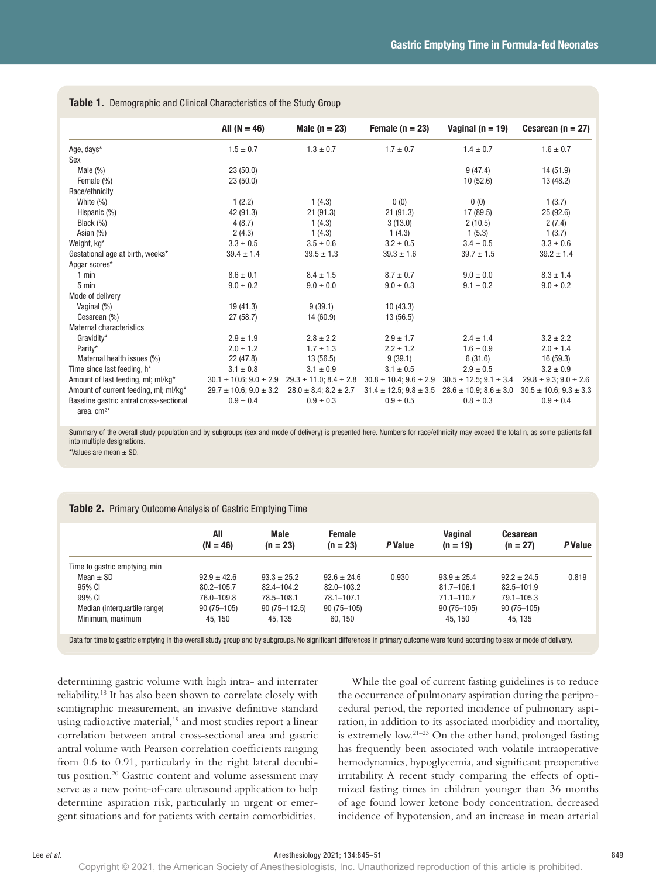|                                         | All $(N = 46)$                  | Male $(n = 23)$                 | Female $(n = 23)$               | Vaginal ( $n = 19$ )            | Cesarean ( $n = 27$ )           |
|-----------------------------------------|---------------------------------|---------------------------------|---------------------------------|---------------------------------|---------------------------------|
| Age, days*                              | $1.5 \pm 0.7$                   | $1.3 \pm 0.7$                   | $1.7 \pm 0.7$                   | $1.4 \pm 0.7$                   | $1.6 \pm 0.7$                   |
| Sex                                     |                                 |                                 |                                 |                                 |                                 |
| Male $(\% )$                            | 23(50.0)                        |                                 |                                 | 9(47.4)                         | 14 (51.9)                       |
| Female (%)                              | 23(50.0)                        |                                 |                                 | 10(52.6)                        | 13 (48.2)                       |
| Race/ethnicity                          |                                 |                                 |                                 |                                 |                                 |
| White (%)                               | 1(2.2)                          | 1(4.3)                          | 0(0)                            | 0(0)                            | 1(3.7)                          |
| Hispanic (%)                            | 42 (91.3)                       | 21(91.3)                        | 21(91.3)                        | 17 (89.5)                       | 25(92.6)                        |
| Black (%)                               | 4(8.7)                          | 1(4.3)                          | 3(13.0)                         | 2(10.5)                         | 2(7.4)                          |
| Asian (%)                               | 2(4.3)                          | 1(4.3)                          | 1(4.3)                          | 1(5.3)                          | 1(3.7)                          |
| Weight, kg*                             | $3.3 \pm 0.5$                   | $3.5 \pm 0.6$                   | $3.2 \pm 0.5$                   | $3.4 \pm 0.5$                   | $3.3 \pm 0.6$                   |
| Gestational age at birth, weeks*        | $39.4 \pm 1.4$                  | $39.5 \pm 1.3$                  | $39.3 \pm 1.6$                  | $39.7 \pm 1.5$                  | $39.2 \pm 1.4$                  |
| Apgar scores*                           |                                 |                                 |                                 |                                 |                                 |
| $1$ min                                 | $8.6 \pm 0.1$                   | $8.4 \pm 1.5$                   | $8.7 \pm 0.7$                   | $9.0 \pm 0.0$                   | $8.3 \pm 1.4$                   |
| 5 min                                   | $9.0 \pm 0.2$                   | $9.0 \pm 0.0$                   | $9.0 \pm 0.3$                   | $9.1 \pm 0.2$                   | $9.0 \pm 0.2$                   |
| Mode of delivery                        |                                 |                                 |                                 |                                 |                                 |
| Vaginal (%)                             | 19(41.3)                        | 9(39.1)                         | 10(43.3)                        |                                 |                                 |
| Cesarean (%)                            | 27(58.7)                        | 14 (60.9)                       | 13 (56.5)                       |                                 |                                 |
| Maternal characteristics                |                                 |                                 |                                 |                                 |                                 |
| Gravidity*                              | $2.9 \pm 1.9$                   | $2.8 \pm 2.2$                   | $2.9 \pm 1.7$                   | $2.4 \pm 1.4$                   | $3.2 + 2.2$                     |
| Parity*                                 | $2.0 \pm 1.2$                   | $1.7 \pm 1.3$                   | $2.2 \pm 1.2$                   | $1.6 \pm 0.9$                   | $2.0 \pm 1.4$                   |
| Maternal health issues (%)              | 22 (47.8)                       | 13 (56.5)                       | 9(39.1)                         | 6(31.6)                         | 16 (59.3)                       |
| Time since last feeding, h*             | $3.1 \pm 0.8$                   | $3.1 \pm 0.9$                   | $3.1 \pm 0.5$                   | $2.9 \pm 0.5$                   | $3.2 \pm 0.9$                   |
| Amount of last feeding, ml; ml/kg*      | $30.1 \pm 10.6$ ; $9.0 \pm 2.9$ | $29.3 \pm 11.0$ ; $8.4 \pm 2.8$ | $30.8 \pm 10.4$ ; $9.6 \pm 2.9$ | $30.5 \pm 12.5$ ; $9.1 \pm 3.4$ | $29.8 \pm 9.3$ ; $9.0 \pm 2.6$  |
| Amount of current feeding, ml; ml/kg*   | $29.7 \pm 10.6$ ; $9.0 \pm 3.2$ | $28.0 \pm 8.4$ ; $8.2 \pm 2.7$  | $31.4 \pm 12.5$ ; $9.8 \pm 3.5$ | $28.6 \pm 10.9; 8.6 \pm 3.0$    | $30.5 \pm 10.6$ ; $9.3 \pm 3.3$ |
| Baseline gastric antral cross-sectional | $0.9 \pm 0.4$                   | $0.9 \pm 0.3$                   | $0.9 \pm 0.5$                   | $0.8 \pm 0.3$                   | $0.9 \pm 0.4$                   |
| area, $cm2*$                            |                                 |                                 |                                 |                                 |                                 |

Table 1. Demographic and Clinical Characteristics of the Study Group

Summary of the overall study population and by subgroups (sex and mode of delivery) is presented here. Numbers for race/ethnicity may exceed the total n, as some patients fall into multiple designations.

\*Values are mean ± SD.

| Table 2. Primary Outcome Analysis of Gastric Emptying Time |  |  |  |
|------------------------------------------------------------|--|--|--|
|------------------------------------------------------------|--|--|--|

|                               | All<br>$(N = 46)$ | <b>Male</b><br>$(n = 23)$ | <b>Female</b><br>$(n = 23)$ | <b>P</b> Value | <b>Vaginal</b><br>$(n = 19)$ | <b>Cesarean</b><br>$(n = 27)$ | P Value |
|-------------------------------|-------------------|---------------------------|-----------------------------|----------------|------------------------------|-------------------------------|---------|
| Time to gastric emptying, min |                   |                           |                             |                |                              |                               |         |
| Mean $\pm$ SD                 | $92.9 \pm 42.6$   | $93.3 \pm 25.2$           | $92.6 \pm 24.6$             | 0.930          | $93.9 \pm 25.4$              | $92.2 \pm 24.5$               | 0.819   |
| 95% CI                        | 80.2-105.7        | 82.4-104.2                | 82.0-103.2                  |                | $81.7 - 106.1$               | 82.5-101.9                    |         |
| 99% CI                        | 76.0-109.8        | 78.5-108.1                | 78.1-107.1                  |                | $71.1 - 110.7$               | $79.1 - 105.3$                |         |
| Median (interguartile range)  | $90(75 - 105)$    | $90(75 - 112.5)$          | $90(75 - 105)$              |                | $90(75 - 105)$               | $90(75 - 105)$                |         |
| Minimum, maximum              | 45.150            | 45.135                    | 60, 150                     |                | 45.150                       | 45.135                        |         |

Data for time to gastric emptying in the overall study group and by subgroups. No significant differences in primary outcome were found according to sex or mode of delivery.

determining gastric volume with high intra- and interrater reliability.18 It has also been shown to correlate closely with scintigraphic measurement, an invasive definitive standard using radioactive material,<sup>19</sup> and most studies report a linear correlation between antral cross-sectional area and gastric antral volume with Pearson correlation coefficients ranging from 0.6 to 0.91, particularly in the right lateral decubitus position.<sup>20</sup> Gastric content and volume assessment may serve as a new point-of-care ultrasound application to help determine aspiration risk, particularly in urgent or emergent situations and for patients with certain comorbidities.

While the goal of current fasting guidelines is to reduce the occurrence of pulmonary aspiration during the periprocedural period, the reported incidence of pulmonary aspiration, in addition to its associated morbidity and mortality, is extremely low.21–23 On the other hand, prolonged fasting has frequently been associated with volatile intraoperative hemodynamics, hypoglycemia, and significant preoperative irritability. A recent study comparing the effects of optimized fasting times in children younger than 36 months of age found lower ketone body concentration, decreased incidence of hypotension, and an increase in mean arterial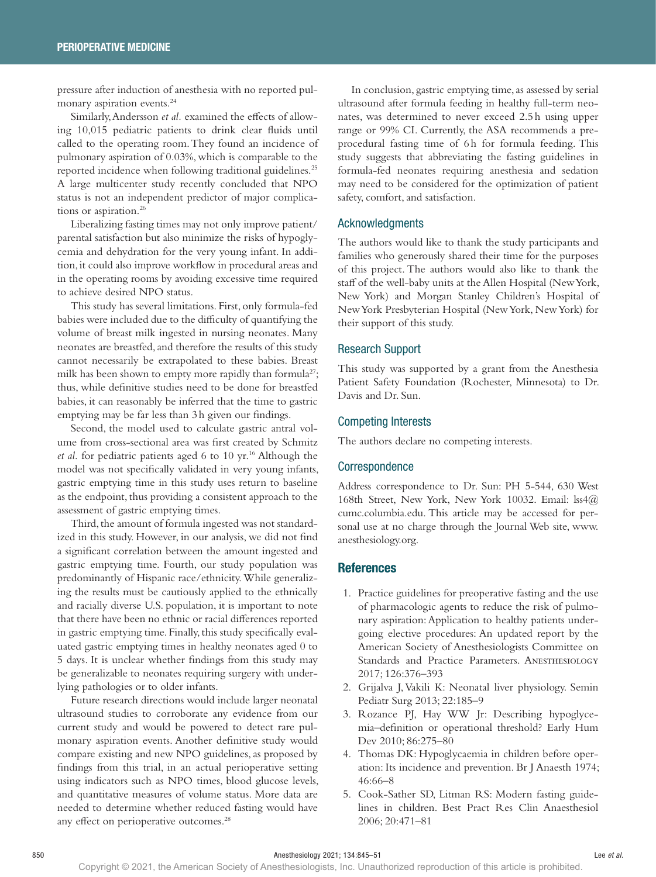pressure after induction of anesthesia with no reported pulmonary aspiration events.24

Similarly, Andersson *et al.* examined the effects of allowing 10,015 pediatric patients to drink clear fluids until called to the operating room. They found an incidence of pulmonary aspiration of 0.03%, which is comparable to the reported incidence when following traditional guidelines.<sup>25</sup> A large multicenter study recently concluded that NPO status is not an independent predictor of major complications or aspiration.<sup>26</sup>

Liberalizing fasting times may not only improve patient/ parental satisfaction but also minimize the risks of hypoglycemia and dehydration for the very young infant. In addition, it could also improve workflow in procedural areas and in the operating rooms by avoiding excessive time required to achieve desired NPO status.

This study has several limitations. First, only formula-fed babies were included due to the difficulty of quantifying the volume of breast milk ingested in nursing neonates. Many neonates are breastfed, and therefore the results of this study cannot necessarily be extrapolated to these babies. Breast milk has been shown to empty more rapidly than formula<sup>27</sup>; thus, while definitive studies need to be done for breastfed babies, it can reasonably be inferred that the time to gastric emptying may be far less than 3h given our findings.

Second, the model used to calculate gastric antral volume from cross-sectional area was first created by Schmitz *et al.* for pediatric patients aged 6 to 10 yr.16 Although the model was not specifically validated in very young infants, gastric emptying time in this study uses return to baseline as the endpoint, thus providing a consistent approach to the assessment of gastric emptying times.

Third, the amount of formula ingested was not standardized in this study. However, in our analysis, we did not find a significant correlation between the amount ingested and gastric emptying time. Fourth, our study population was predominantly of Hispanic race/ethnicity. While generalizing the results must be cautiously applied to the ethnically and racially diverse U.S. population, it is important to note that there have been no ethnic or racial differences reported in gastric emptying time. Finally, this study specifically evaluated gastric emptying times in healthy neonates aged 0 to 5 days. It is unclear whether findings from this study may be generalizable to neonates requiring surgery with underlying pathologies or to older infants.

Future research directions would include larger neonatal ultrasound studies to corroborate any evidence from our current study and would be powered to detect rare pulmonary aspiration events. Another definitive study would compare existing and new NPO guidelines, as proposed by findings from this trial, in an actual perioperative setting using indicators such as NPO times, blood glucose levels, and quantitative measures of volume status. More data are needed to determine whether reduced fasting would have any effect on perioperative outcomes.<sup>28</sup>

In conclusion, gastric emptying time, as assessed by serial ultrasound after formula feeding in healthy full-term neonates, was determined to never exceed 2.5h using upper range or 99% CI. Currently, the ASA recommends a preprocedural fasting time of 6h for formula feeding. This study suggests that abbreviating the fasting guidelines in formula-fed neonates requiring anesthesia and sedation may need to be considered for the optimization of patient safety, comfort, and satisfaction.

#### Acknowledgments

The authors would like to thank the study participants and families who generously shared their time for the purposes of this project. The authors would also like to thank the staff of the well-baby units at the Allen Hospital (New York, New York) and Morgan Stanley Children's Hospital of New York Presbyterian Hospital (New York, New York) for their support of this study.

#### Research Support

This study was supported by a grant from the Anesthesia Patient Safety Foundation (Rochester, Minnesota) to Dr. Davis and Dr. Sun.

#### Competing Interests

The authors declare no competing interests.

#### **Correspondence**

Address correspondence to Dr. Sun: PH 5-544, 630 West 168th Street, New York, New York 10032. Email: [lss4@](mailto:lss4@cumc.columbia.edu) [cumc.columbia.edu](mailto:lss4@cumc.columbia.edu). This article may be accessed for personal use at no charge through the Journal Web site, www. anesthesiology.org.

#### **References**

- 1. Practice guidelines for preoperative fasting and the use of pharmacologic agents to reduce the risk of pulmonary aspiration: Application to healthy patients undergoing elective procedures: An updated report by the American Society of Anesthesiologists Committee on Standards and Practice Parameters. ANESTHESIOLOGY 2017; 126:376–393
- 2. Grijalva J, Vakili K: Neonatal liver physiology. Semin Pediatr Surg 2013; 22:185–9
- 3. Rozance PJ, Hay WW Jr: Describing hypoglycemia–definition or operational threshold? Early Hum Dev 2010; 86:275–80
- 4. Thomas DK: Hypoglycaemia in children before operation: Its incidence and prevention. Br J Anaesth 1974; 46:66–8
- 5. Cook-Sather SD, Litman RS: Modern fasting guidelines in children. Best Pract Res Clin Anaesthesiol 2006; 20:471–81